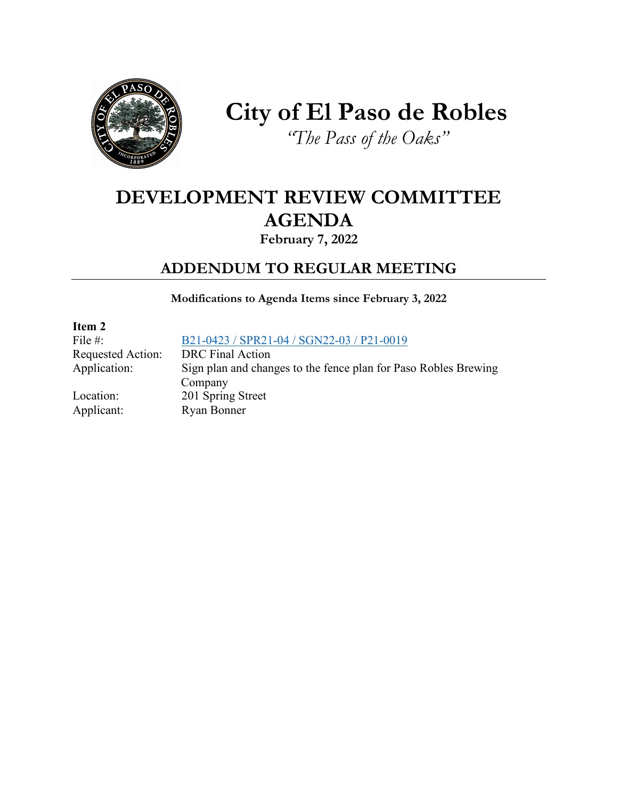

# **City of El Paso de Robles**

*"The Pass of the Oaks"*

## **DEVELOPMENT REVIEW COMMITTEE AGENDA**

### **February 7, 2022**

### **ADDENDUM TO REGULAR MEETING**

**Modifications to Agenda Items since February 3, 2022**

**Item 2** File #: [B21-0423 / SPR21-04 / SGN22-03 / P21-0019](https://www.prcity.com/DocumentCenter/View/33127/February-07-2022-Development-Review-Committee-Agenda-Item-2-PDF) Requested Action: DRC Final Action Application: Sign plan and changes to the fence plan for Paso Robles Brewing Company Location: 201 Spring Street Applicant: Ryan Bonner